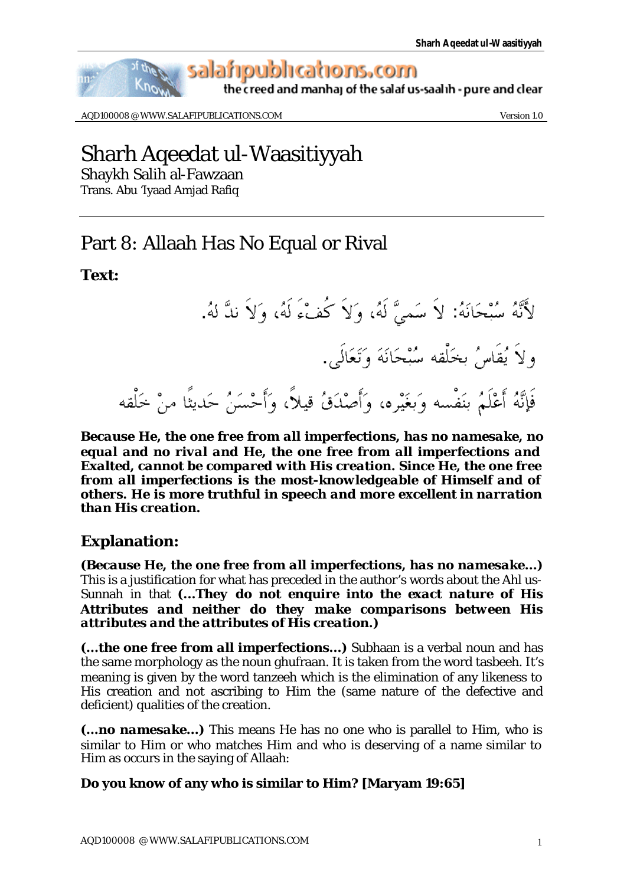

AQD100008 @ WWW.SALAFIPUBLICATIONS.COM Version 1.0

# Sharh Aqeedat ul-Waasitiyyah

Shaykh Salih al-Fawzaan

Trans. Abu 'Iyaad Amjad Rafiq

## Part 8: Allaah Has No Equal or Rival

## **Text:**



*Because He, the one free from all imperfections, has no namesake, no equal and no rival and He, the one free from all imperfections and Exalted, cannot be compared with His creation. Since He, the one free from all imperfections is the most-knowledgeable of Himself and of others. He is more truthful in speech and more excellent in narration than His creation.*

## **Explanation:**

*(Because He, the one free from all imperfections, has no namesake...)* This is a justification for what has preceded in the author's words about the Ahl us-Sunnah in that *(...They do not enquire into the exact nature of His Attributes and neither do they make comparisons between His attributes and the attributes of His creation.)* 

*(...the one free from all imperfections...)* Subhaan is a verbal noun and has the same morphology as the noun ghufraan. It is taken from the word tasbeeh. It's meaning is given by the word tanzeeh which is the elimination of any likeness to His creation and not ascribing to Him the (same nature of the defective and deficient) qualities of the creation.

*(...no namesake...)* This means He has no one who is parallel to Him, who is similar to Him or who matches Him and who is deserving of a name similar to Him as occurs in the saying of Allaah:

## **Do you know of any who is similar to Him? [Maryam 19:65]**